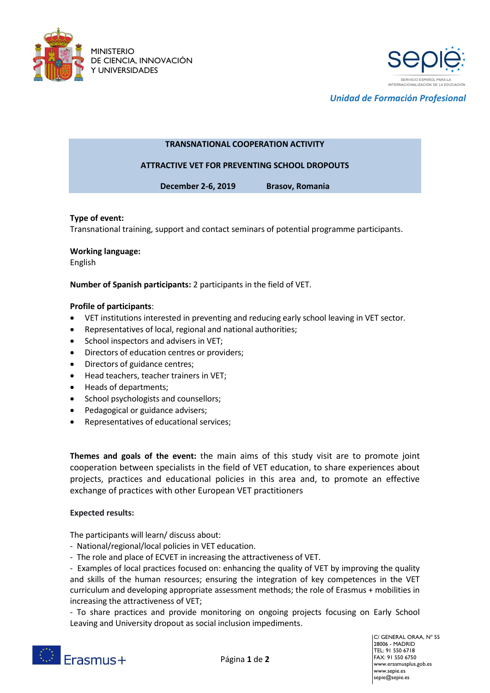



*Unidad de Formación Profesional*

# **TRANSNATIONAL COOPERATION ACTIVITY**

# **ATTRACTIVE VET FOR PREVENTING SCHOOL DROPOUTS**

**December 2-6, 2019 Brasov, Romania**

### **Type of event:**

Transnational training, support and contact seminars of potential programme participants.

#### **Working language:**

English

**Number of Spanish participants:** 2 participants in the field of VET.

### **Profile of participants**:

- VET institutions interested in preventing and reducing early school leaving in VET sector.
- Representatives of local, regional and national authorities;
- School inspectors and advisers in VET;
- **•** Directors of education centres or providers;
- Directors of guidance centres;
- Head teachers, teacher trainers in VET;
- Heads of departments;
- School psychologists and counsellors;
- Pedagogical or guidance advisers;
- Representatives of educational services;

**Themes and goals of the event:** the main aims of this study visit are to promote joint cooperation between specialists in the field of VET education, to share experiences about projects, practices and educational policies in this area and, to promote an effective exchange of practices with other European VET practitioners

### **Expected results:**

The participants will learn/ discuss about:

- National/regional/local policies in VET education.
- The role and place of ECVET in increasing the attractiveness of VET.

- Examples of local practices focused on: enhancing the quality of VET by improving the quality and skills of the human resources; ensuring the integration of key competences in the VET curriculum and developing appropriate assessment methods; the role of Erasmus + mobilities in increasing the attractiveness of VET;

- To share practices and provide monitoring on ongoing projects focusing on Early School Leaving and University dropout as social inclusion impediments.